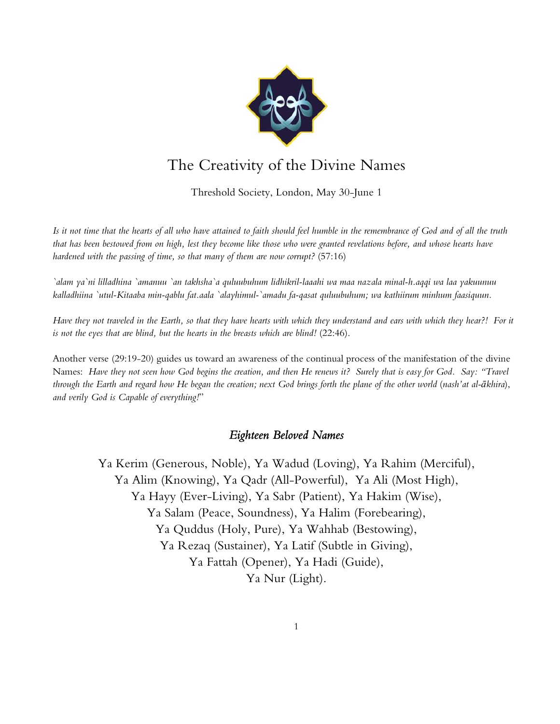

## The Creativity of the Divine Names

Threshold Society, London, May 30-June 1

*Is it not time that the hearts of all who have attained to faith should feel humble in the remembrance of God and of all the truth that has been bestowed from on high, lest they become like those who were granted revelations before, and whose hearts have hardened with the passing of time, so that many of them are now corrupt?* (57:16)

*`alam ya`ni lilladhina `amanuu `an takhsha`a quluubuhum lidhikril-laaahi wa maa nazala minal-h.aqqi wa laa yakuunuu kalladhiina `utul-Kitaaba min-qablu fat.aala `alayhimul-`amadu fa-qasat quluubuhum; wa kathiirum minhum faasiquun.* 

*Have they not traveled in the Earth, so that they have hearts with which they understand and ears with which they hear?! For it is not the eyes that are blind, but the hearts in the breasts which are blind!* (22:46).

Another verse (29:19-20) guides us toward an awareness of the continual process of the manifestation of the divine Names: *Have they not seen how God begins the creation, and then He renews it? Surely that is easy for God. Say: "Travel through the Earth and regard how He began the creation; next God brings forth the plane of the other world* (*nash'at al-!khira*), *and verily God is Capable of everything!*"

## *Eighteen Beloved Names*

Ya Kerim (Generous, Noble), Ya Wadud (Loving), Ya Rahim (Merciful), Ya Alim (Knowing), Ya Qadr (All-Powerful), Ya Ali (Most High), Ya Hayy (Ever-Living), Ya Sabr (Patient), Ya Hakim (Wise), Ya Salam (Peace, Soundness), Ya Halim (Forebearing), Ya Quddus (Holy, Pure), Ya Wahhab (Bestowing), Ya Rezaq (Sustainer), Ya Latif (Subtle in Giving), Ya Fattah (Opener), Ya Hadi (Guide), Ya Nur (Light).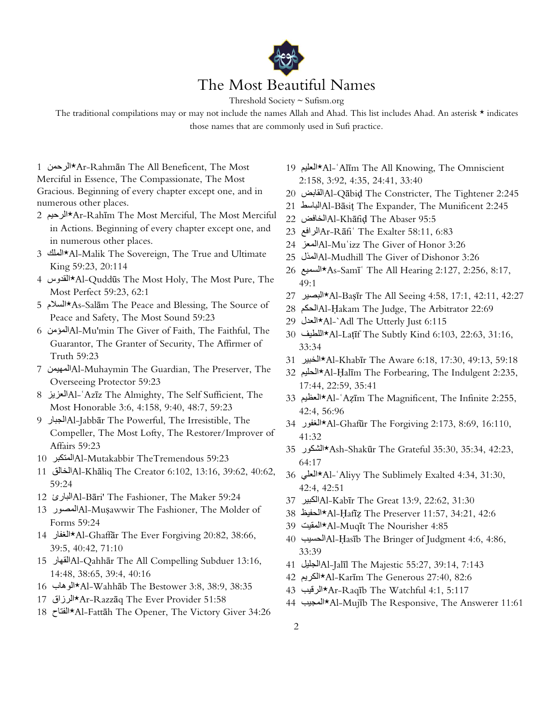

Threshold Society ~ Sufism.org

The traditional compilations may or may not include the names Allah and Ahad. This list includes Ahad. An asterisk  $\star$  indicates those names that are commonly used in Sufi practice.

1 Ar-Rahmān The All Beneficent, The Most∧r-Rahmān† Merciful in Essence, The Compassionate, The Most Gracious. Beginning of every chapter except one, and in numerous other places.

- 2 Ar-Rahīm The Most Merciful, The Most Merciful^ in Actions. Beginning of every chapter except one, and in numerous other places.
- 3 Al-Malik The Sovereign, The True and Ultimate∧Al∸Malik The Sovereign, The True and King 59:23, 20:114
- 4 القدوس 4√Al-Quddūs The Most Holy, The Most Pure, The Most Perfect 59:23, 62:1
- 5 As-Salam The Peace and Blessing, The Source of \*السلام 5 Peace and Safety, The Most Sound 59:23
- 6 المؤمن Al-Mu'min The Giver of Faith, The Faithful, The Guarantor, The Granter of Security, The Affirmer of Truth 59:23
- 7 المعيمن Al-Muhaymin The Guardian, The Preserver, The Overseeing Protector 59:23
- 8 Al-'Azīz The Almighty, The Self Sufficient, The العزيز Most Honorable 3:6, 4:158, 9:40, 48:7, 59:23
- 9 Al-Jabbār The Powerful, The Irresistible, The الحبار 9 Compeller, The Most Lofty, The Restorer/Improver of Affairs 59:23
- 10.23 Al-Mutakabbir TheTremendousالمتكبر
- 11-Al-Khāliq The Creator 6:102, 13:16, 39:62, 40:62, الخالق 11 59:24
- 12 Al-Bāri' The Fashioner, The Maker 59:24المبارئ
- 13 Al-Muşawwir The Fashioner, The Molder of Forms 59:24
- 14 Al-Ghaffār The Ever Forgiving 20:82, 38:66, المغفار 14 39:5, 40:42, 71:10
- 15.16, Al-Qahhār The All Compelling Subduer 13:16(القهار 15 14:48, 38:65, 39:4, 40:16
- 16.38:9, Al-Wahhāb The Bestower 3:8, 38:9, 38:35∗الوهاب
- 17 Ar-Razzāq The Ever Provider\*1:58⊁الرزاق
- 18 Al-Fattāh The Opener, The Victory Giver 34:26⊁الفتاح 18
- 19 \*Al-ʿAlīm The All Knowing, The Omniscient العليم 19 2:158, 3:92, 4:35, 24:41, 33:40
- 20 Al-Qābid The Constricter, The Tightener 2:245
- 21-2:245 Al-Bāsit The Expander, The Munificent 2:245
- 22 Al-Khāfid The Abaser 95:5المخافض
- 23: Ar-Rāfi' The Exalter 58:11, 6:83
- 24-Al-Muʿizz The Giver of Honor 3:26
- 25 Al-Mudhill The Giver of Dishonor 3:26
- 26, 2:256, 2:127 As-Samīʿ The All Hearing 2:127, 2:256, 8:17,  $49:1$
- Al-Baṣīr The All Seeing 4:58, 17:1, 42:11, 42:27⊁البصير 27
- 28 Al-Hakam The Judge, The Arbitrator 22:69
- 29 Al-`Adl The Utterly Just 6:115\*^{\disp\_{\disp\_{\disp\_{\disp\_{\disp\_{\disp\_{\disp\_{\disp\_{\disp\_{\disp\_{\disp\_{\disp\_{\disp\_{\disp\_{\disp\_{\disp\_{\disp\_{\disp\_{\disp\_{\disp\_{\disp\_{\disp\_{\disp\_{\disp\_{\disp\_{\disp\_{\d
- 30 Al-Latīf The Subtly Kind 6:103, 22:63, 31:16, اللطيف⊀Al-Latīf The Subtly Kind 33:34
- 31 Al-Khabīr The Aware 6:18, 17:30, 49:13, 59:18⊁الخبير
- 32 Al-Halim The Forbearing, The Indulgent 2:235, المطلبع 23 17:44, 22:59, 35:41
- 33 Al-'Azīm The Magnificent, The Infinite 2:255,⊀العظيم 33 42:4, 56:96
- 34 Al-Ghafūr The Forgiving 2:173, 8:69, 16:110, الغفور 34 41:32
- 35:34, 42:23, Ash-Shakūr The Grateful 35:30, 35:34, 42:23, 64:17
- 36:31, Al-`Aliyy The Sublimely Exalted 4:34, 31:30, المعلمي ك 42:4, 42:51
- 37 Al-Kabīr The Great 13:9, 22:62, 31:30
- 38 Al-Hafiz The Preserver 11:57, 34:21, 42:6⊁الحفيظ
- 39:4 Al-Muqīt The Nourisher\* المقيت 39
- 40. Al-Hasīb The Bringer of Judgment 4:6, 4:86, 33:39
- 41-Al-Jalīl The Majestic 55:27, 39:14, 7:143
- 42 Al-Karīm The Generous 27:40, 82:6⊁الكريم
- 43 Ar-Raqīb The Watchful 4:1, 5:117⊁الرقيب
- 44\*Al-Mujīb The Responsive, The Answerer 11:61\*Al+المجيب